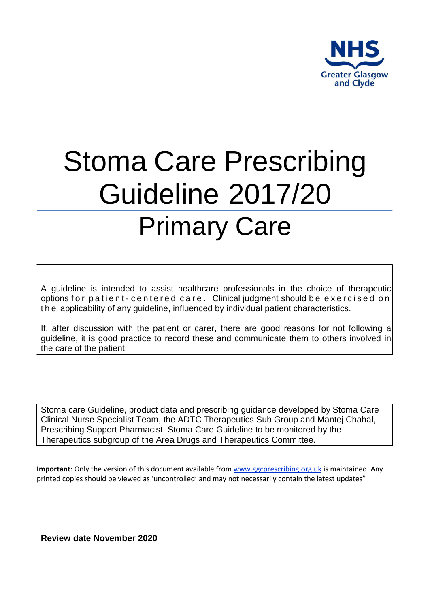

# Stoma Care Prescribing Guideline 2017/20 Primary Care

A guideline is intended to assist healthcare professionals in the choice of therapeutic options for patient-centered care. Clinical judgment should be exercised on the applicability of any guideline, influenced by individual patient characteristics.

If, after discussion with the patient or carer, there are good reasons for not following a guideline, it is good practice to record these and communicate them to others involved in the care of the patient.

Stoma care Guideline, product data and prescribing guidance developed by Stoma Care Clinical Nurse Specialist Team, the ADTC Therapeutics Sub Group and Mantej Chahal, Prescribing Support Pharmacist. Stoma Care Guideline to be monitored by the Therapeutics subgroup of the Area Drugs and Therapeutics Committee.

**Important**: Only the version of this document available fro[m www.ggcprescribing.org.uk](http://www.ggcprescribing.org.uk/) is maintained. Any printed copies should be viewed as 'uncontrolled' and may not necessarily contain the latest updates"

**Review date November 2020**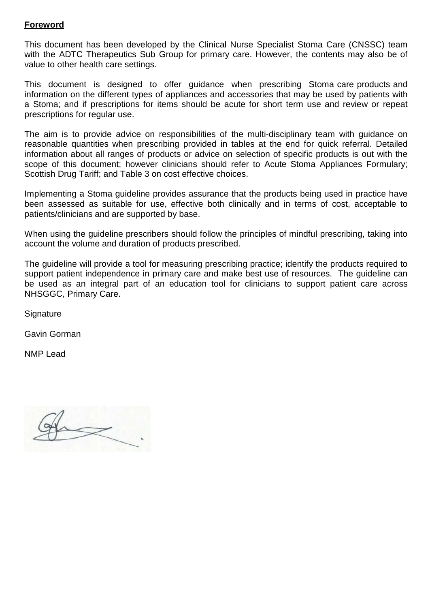# **Foreword**

This document has been developed by the Clinical Nurse Specialist Stoma Care (CNSSC) team with the ADTC Therapeutics Sub Group for primary care. However, the contents may also be of value to other health care settings.

This document is designed to offer guidance when prescribing Stoma care products and information on the different types of appliances and accessories that may be used by patients with a Stoma; and if prescriptions for items should be acute for short term use and review or repeat prescriptions for regular use.

The aim is to provide advice on responsibilities of the multi-disciplinary team with guidance on reasonable quantities when prescribing provided in tables at the end for quick referral. Detailed information about all ranges of products or advice on selection of specific products is out with the scope of this document; however clinicians should refer to Acute Stoma Appliances Formulary; Scottish Drug Tariff; and Table 3 on cost effective choices.

Implementing a Stoma guideline provides assurance that the products being used in practice have been assessed as suitable for use, effective both clinically and in terms of cost, acceptable to patients/clinicians and are supported by base.

When using the guideline prescribers should follow the principles of mindful prescribing, taking into account the volume and duration of products prescribed.

The guideline will provide a tool for measuring prescribing practice; identify the products required to support patient independence in primary care and make best use of resources. The guideline can be used as an integral part of an education tool for clinicians to support patient care across NHSGGC, Primary Care.

**Signature** 

Gavin Gorman

NMP Lead

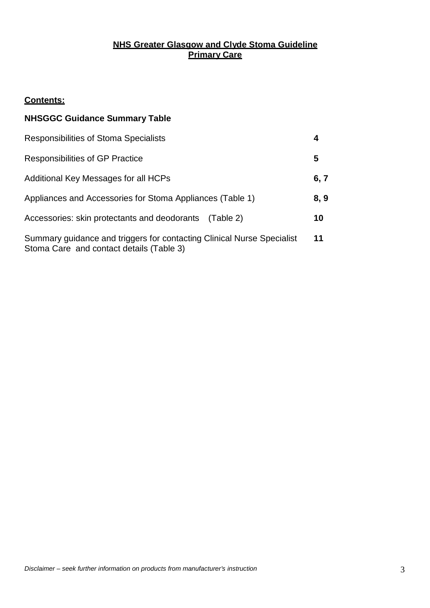# **NHS Greater Glasgow and Clyde Stoma Guideline Primary Care**

## **Contents:**

# **NHSGGC Guidance Summary Table**

| Responsibilities of Stoma Specialists                                                                              |      |
|--------------------------------------------------------------------------------------------------------------------|------|
| <b>Responsibilities of GP Practice</b>                                                                             | 5    |
| Additional Key Messages for all HCPs                                                                               | 6, 7 |
| Appliances and Accessories for Stoma Appliances (Table 1)                                                          | 8,9  |
| Accessories: skin protectants and deodorants (Table 2)                                                             | 10   |
| Summary guidance and triggers for contacting Clinical Nurse Specialist<br>Stoma Care and contact details (Table 3) | 11   |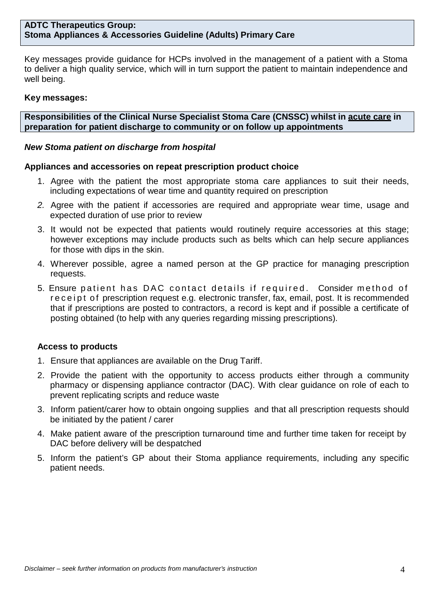Key messages provide guidance for HCPs involved in the management of a patient with a Stoma to deliver a high quality service, which will in turn support the patient to maintain independence and well being.

#### **Key messages:**

**Responsibilities of the Clinical Nurse Specialist Stoma Care (CNSSC) whilst in acute care in preparation for patient discharge to community or on follow up appointments**

#### *New Stoma patient on discharge from hospital*

#### **Appliances and accessories on repeat prescription product choice**

- 1. Agree with the patient the most appropriate stoma care appliances to suit their needs, including expectations of wear time and quantity required on prescription
- *2.* Agree with the patient if accessories are required and appropriate wear time, usage and expected duration of use prior to review
- 3. It would not be expected that patients would routinely require accessories at this stage; however exceptions may include products such as belts which can help secure appliances for those with dips in the skin.
- 4. Wherever possible, agree a named person at the GP practice for managing prescription requests.
- 5. Ensure patient has DAC contact details if required. Consider method of receipt of prescription request e.g. electronic transfer, fax, email, post. It is recommended that if prescriptions are posted to contractors, a record is kept and if possible a certificate of posting obtained (to help with any queries regarding missing prescriptions).

#### **Access to products**

- 1. Ensure that appliances are available on the Drug Tariff.
- 2. Provide the patient with the opportunity to access products either through a community pharmacy or dispensing appliance contractor (DAC). With clear guidance on role of each to prevent replicating scripts and reduce waste
- 3. Inform patient/carer how to obtain ongoing supplies and that all prescription requests should be initiated by the patient / carer
- 4. Make patient aware of the prescription turnaround time and further time taken for receipt by DAC before delivery will be despatched
- 5. Inform the patient's GP about their Stoma appliance requirements, including any specific patient needs.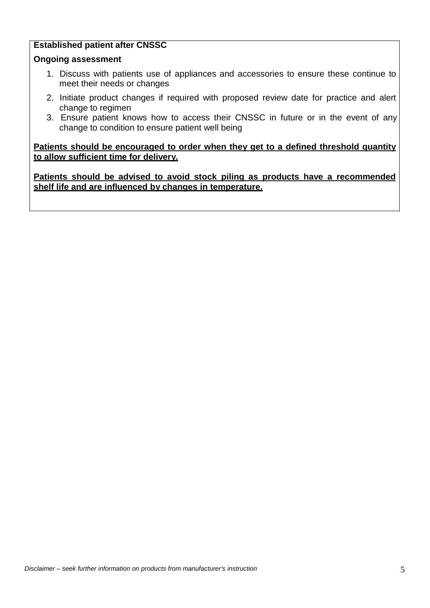# **Established patient after CNSSC**

#### **Ongoing assessment**

- 1. Discuss with patients use of appliances and accessories to ensure these continue to meet their needs or changes
- 2. Initiate product changes if required with proposed review date for practice and alert change to regimen
- 3. Ensure patient knows how to access their CNSSC in future or in the event of any change to condition to ensure patient well being

**Patients should be encouraged to order when they get to a defined threshold quantity to allow sufficient time for delivery.**

**Patients should be advised to avoid stock piling as products have a recommended shelf life and are influenced by changes in temperature.**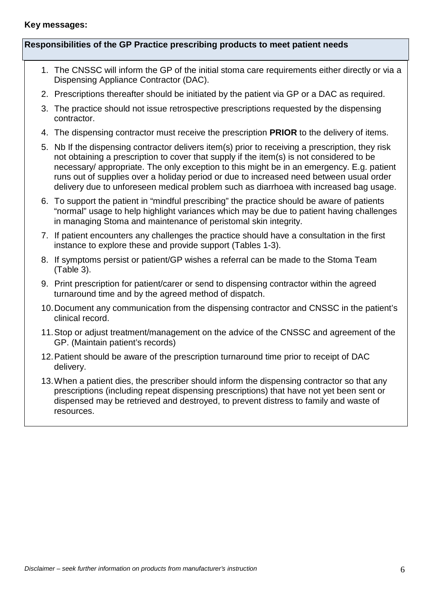#### **Key messages:**

#### **Responsibilities of the GP Practice prescribing products to meet patient needs**

- 1. The CNSSC will inform the GP of the initial stoma care requirements either directly or via a Dispensing Appliance Contractor (DAC).
- 2. Prescriptions thereafter should be initiated by the patient via GP or a DAC as required.
- 3. The practice should not issue retrospective prescriptions requested by the dispensing contractor.
- 4. The dispensing contractor must receive the prescription **PRIOR** to the delivery of items.
- 5. Nb If the dispensing contractor delivers item(s) prior to receiving a prescription, they risk not obtaining a prescription to cover that supply if the item(s) is not considered to be necessary/ appropriate. The only exception to this might be in an emergency. E.g. patient runs out of supplies over a holiday period or due to increased need between usual order delivery due to unforeseen medical problem such as diarrhoea with increased bag usage.
- 6. To support the patient in "mindful prescribing" the practice should be aware of patients "normal" usage to help highlight variances which may be due to patient having challenges in managing Stoma and maintenance of peristomal skin integrity.
- 7. If patient encounters any challenges the practice should have a consultation in the first instance to explore these and provide support (Tables 1-3).
- 8. If symptoms persist or patient/GP wishes a referral can be made to the Stoma Team (Table 3).
- 9. Print prescription for patient/carer or send to dispensing contractor within the agreed turnaround time and by the agreed method of dispatch.
- 10.Document any communication from the dispensing contractor and CNSSC in the patient's clinical record.
- 11.Stop or adjust treatment/management on the advice of the CNSSC and agreement of the GP. (Maintain patient's records)
- 12.Patient should be aware of the prescription turnaround time prior to receipt of DAC delivery.
- 13.When a patient dies, the prescriber should inform the dispensing contractor so that any prescriptions (including repeat dispensing prescriptions) that have not yet been sent or dispensed may be retrieved and destroyed, to prevent distress to family and waste of resources.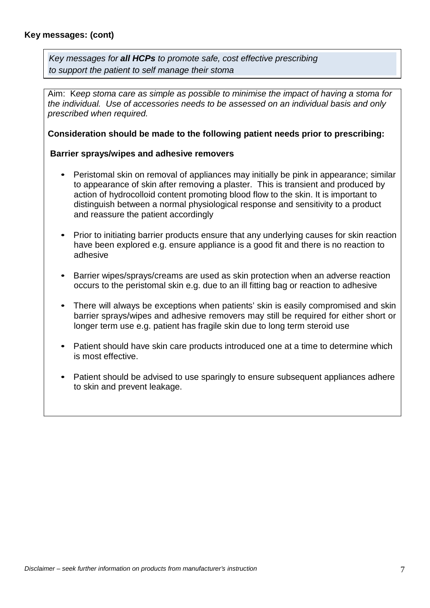*Key messages for all HCPs to promote safe, cost effective prescribing to support the patient to self manage their stoma*

Aim: K*eep stoma care as simple as possible to minimise the impact of having a stoma for the individual. Use of accessories needs to be assessed on an individual basis and only prescribed when required.*

#### **Consideration should be made to the following patient needs prior to prescribing:**

#### **Barrier sprays/wipes and adhesive removers**

- Peristomal skin on removal of appliances may initially be pink in appearance; similar to appearance of skin after removing a plaster. This is transient and produced by action of hydrocolloid content promoting blood flow to the skin. It is important to distinguish between a normal physiological response and sensitivity to a product and reassure the patient accordingly
- Prior to initiating barrier products ensure that any underlying causes for skin reaction have been explored e.g. ensure appliance is a good fit and there is no reaction to adhesive
- Barrier wipes/sprays/creams are used as skin protection when an adverse reaction occurs to the peristomal skin e.g. due to an ill fitting bag or reaction to adhesive
- There will always be exceptions when patients' skin is easily compromised and skin barrier sprays/wipes and adhesive removers may still be required for either short or longer term use e.g. patient has fragile skin due to long term steroid use
- Patient should have skin care products introduced one at a time to determine which is most effective.
- Patient should be advised to use sparingly to ensure subsequent appliances adhere to skin and prevent leakage.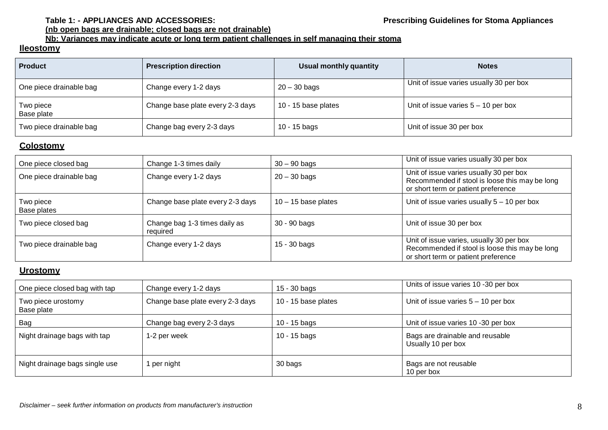## **Table 1: - APPLIANCES AND ACCESSORIES: Prescribing Guidelines for Stoma Appliances**

#### **(nb open bags are drainable; closed bags are not drainable)**

# **Nb: Variances may indicate acute or long term patient challenges in self managing their stoma**

#### **Ileostomy**

| <b>Product</b>          | <b>Prescription direction</b>    | Usual monthly quantity | <b>Notes</b>                            |
|-------------------------|----------------------------------|------------------------|-----------------------------------------|
| One piece drainable bag | Change every 1-2 days            | $20 - 30$ bags         | Unit of issue varies usually 30 per box |
| Two piece<br>Base plate | Change base plate every 2-3 days | 10 - 15 base plates    | Unit of issue varies $5 - 10$ per box   |
| Two piece drainable bag | Change bag every 2-3 days        | 10 - 15 bags           | Unit of issue 30 per box                |

#### **Colostomy**

| One piece closed bag     | Change 1-3 times daily                    | $30 - 90$ bags        | Unit of issue varies usually 30 per box                                                                                           |
|--------------------------|-------------------------------------------|-----------------------|-----------------------------------------------------------------------------------------------------------------------------------|
| One piece drainable bag  | Change every 1-2 days                     | $20 - 30$ bags        | Unit of issue varies usually 30 per box<br>Recommended if stool is loose this may be long<br>or short term or patient preference  |
| Two piece<br>Base plates | Change base plate every 2-3 days          | $10 - 15$ base plates | Unit of issue varies usually $5 - 10$ per box                                                                                     |
| Two piece closed bag     | Change bag 1-3 times daily as<br>required | 30 - 90 bags          | Unit of issue 30 per box                                                                                                          |
| Two piece drainable bag  | Change every 1-2 days                     | $15 - 30$ bags        | Unit of issue varies, usually 30 per box<br>Recommended if stool is loose this may be long<br>or short term or patient preference |

#### **Urostomy**

| One piece closed bag with tap    | Change every 1-2 days            | $15 - 30$ bags      | Units of issue varies 10 -30 per box                  |
|----------------------------------|----------------------------------|---------------------|-------------------------------------------------------|
| Two piece urostomy<br>Base plate | Change base plate every 2-3 days | 10 - 15 base plates | Unit of issue varies $5 - 10$ per box                 |
| Bag                              | Change bag every 2-3 days        | 10 - 15 bags        | Unit of issue varies 10 -30 per box                   |
| Night drainage bags with tap     | 1-2 per week                     | $10 - 15$ bags      | Bags are drainable and reusable<br>Usually 10 per box |
| Night drainage bags single use   | per night                        | 30 bags             | Bags are not reusable<br>10 per box                   |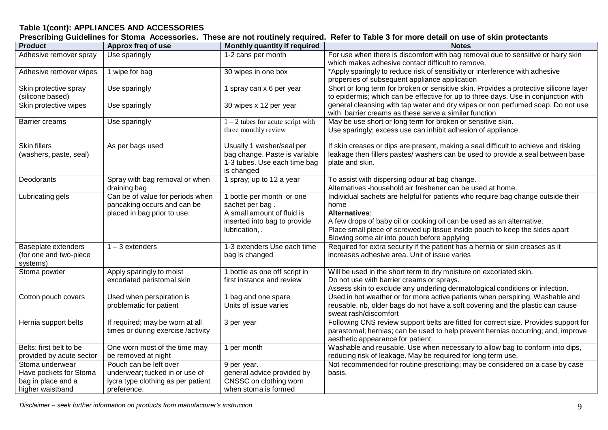# **Table 1(cont): APPLIANCES AND ACCESSORIES**

 $\overline{a}$ 

| Prescribing Guidelines for Stoma Accessories. These are not routinely required. Refer to Table 3 for more detail on use of skin protectants |  |
|---------------------------------------------------------------------------------------------------------------------------------------------|--|
|---------------------------------------------------------------------------------------------------------------------------------------------|--|

| <b>Product</b>           | Approx freq of use                                     | Monthly quantity if required        | <b>Notes</b>                                                                                                                          |
|--------------------------|--------------------------------------------------------|-------------------------------------|---------------------------------------------------------------------------------------------------------------------------------------|
| Adhesive remover spray   | Use sparingly                                          | 1-2 cans per month                  | For use when there is discomfort with bag removal due to sensitive or hairy skin<br>which makes adhesive contact difficult to remove. |
| Adhesive remover wipes   | 1 wipe for bag                                         | 30 wipes in one box                 | *Apply sparingly to reduce risk of sensitivity or interference with adhesive                                                          |
|                          |                                                        |                                     | properties of subsequent appliance application                                                                                        |
| Skin protective spray    | Use sparingly                                          | 1 spray can x 6 per year            | Short or long term for broken or sensitive skin. Provides a protective silicone layer                                                 |
| (silicone based)         |                                                        |                                     | to epidermis; which can be effective for up to three days. Use in conjunction with                                                    |
| Skin protective wipes    | Use sparingly                                          | 30 wipes x 12 per year              | general cleansing with tap water and dry wipes or non perfumed soap. Do not use                                                       |
|                          |                                                        |                                     | with barrier creams as these serve a similar function                                                                                 |
| <b>Barrier creams</b>    | Use sparingly                                          | $1 - 2$ tubes for acute script with | May be use short or long term for broken or sensitive skin.                                                                           |
|                          |                                                        | three monthly review                | Use sparingly; excess use can inhibit adhesion of appliance.                                                                          |
| <b>Skin fillers</b>      | As per bags used                                       | Usually 1 washer/seal per           | If skin creases or dips are present, making a seal difficult to achieve and risking                                                   |
| (washers, paste, seal)   |                                                        | bag change. Paste is variable       | leakage then fillers pastes/ washers can be used to provide a seal between base                                                       |
|                          |                                                        | 1-3 tubes. Use each time bag        | plate and skin.                                                                                                                       |
|                          |                                                        | is changed                          |                                                                                                                                       |
| Deodorants               | Spray with bag removal or when                         | 1 spray; up to 12 a year            | To assist with dispersing odour at bag change.                                                                                        |
|                          | draining bag                                           |                                     | Alternatives -household air freshener can be used at home.                                                                            |
| Lubricating gels         | Can be of value for periods when                       | 1 bottle per month or one           | Individual sachets are helpful for patients who require bag change outside their                                                      |
|                          | pancaking occurs and can be                            | sachet per bag.                     | home                                                                                                                                  |
|                          | placed in bag prior to use.                            | A small amount of fluid is          | Alternatives:                                                                                                                         |
|                          |                                                        | inserted into bag to provide        | A few drops of baby oil or cooking oil can be used as an alternative.                                                                 |
|                          |                                                        | lubrication, .                      | Place small piece of screwed up tissue inside pouch to keep the sides apart                                                           |
|                          |                                                        |                                     | Blowing some air into pouch before applying                                                                                           |
| Baseplate extenders      | $1 - 3$ extenders                                      | 1-3 extenders Use each time         | Required for extra security if the patient has a hernia or skin creases as it                                                         |
| (for one and two-piece   |                                                        | bag is changed                      | increases adhesive area. Unit of issue varies                                                                                         |
| systems)<br>Stoma powder |                                                        | 1 bottle as one off script in       | Will be used in the short term to dry moisture on excoriated skin.                                                                    |
|                          | Apply sparingly to moist<br>excoriated peristomal skin | first instance and review           | Do not use with barrier creams or sprays.                                                                                             |
|                          |                                                        |                                     | Assess skin to exclude any underling dermatological conditions or infection.                                                          |
| Cotton pouch covers      | Used when perspiration is                              | 1 bag and one spare                 | Used in hot weather or for more active patients when perspiring. Washable and                                                         |
|                          | problematic for patient                                | Units of issue varies               | reusable. nb, older bags do not have a soft covering and the plastic can cause                                                        |
|                          |                                                        |                                     | sweat rash/discomfort                                                                                                                 |
| Hernia support belts     | If required; may be worn at all                        | 3 per year                          | Following CNS review support belts are fitted for correct size. Provides support for                                                  |
|                          | times or during exercise /activity                     |                                     | parastomal; hernias; can be used to help prevent hernias occurring; and, improve                                                      |
|                          |                                                        |                                     | aesthetic appearance for patient.                                                                                                     |
| Belts: first belt to be  | One worn most of the time may                          | 1 per month                         | Washable and reusable. Use when necessary to allow bag to conform into dips,                                                          |
| provided by acute sector | be removed at night                                    |                                     | reducing risk of leakage. May be required for long term use.                                                                          |
| Stoma underwear          | Pouch can be left over                                 | 9 per year.                         | Not recommended for routine prescribing; may be considered on a case by case                                                          |
| Have pockets for Stoma   | underwear; tucked in or use of                         | general advice provided by          | basis.                                                                                                                                |
| bag in place and a       | lycra type clothing as per patient                     | CNSSC on clothing worn              |                                                                                                                                       |
| higher waistband         | preference.                                            | when stoma is formed                |                                                                                                                                       |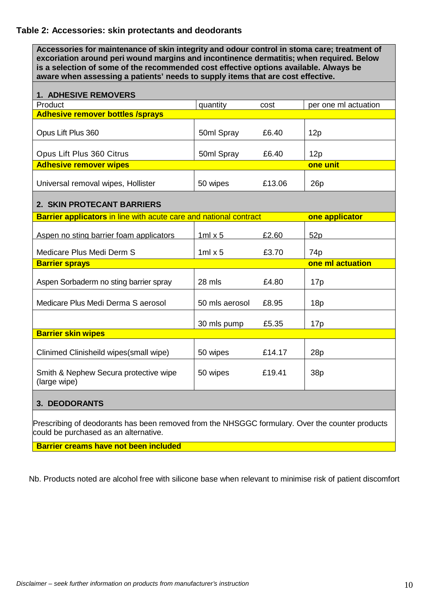#### **Table 2: Accessories: skin protectants and deodorants**

**Accessories for maintenance of skin integrity and odour control in stoma care; treatment of excoriation around peri wound margins and incontinence dermatitis; when required. Below is a selection of some of the recommended cost effective options available. Always be aware when assessing a patients' needs to supply items that are cost effective.**

| <b>1. ADHESIVE REMOVERS</b>                                              |                |        |                      |  |
|--------------------------------------------------------------------------|----------------|--------|----------------------|--|
| Product                                                                  | quantity       | cost   | per one ml actuation |  |
| <b>Adhesive remover bottles /sprays</b>                                  |                |        |                      |  |
| Opus Lift Plus 360                                                       | 50ml Spray     | £6.40  | 12p                  |  |
| Opus Lift Plus 360 Citrus                                                | 50ml Spray     | £6.40  | 12p                  |  |
| <b>Adhesive remover wipes</b>                                            |                |        | one unit             |  |
| Universal removal wipes, Hollister                                       | 50 wipes       | £13.06 | 26p                  |  |
| 2. SKIN PROTECANT BARRIERS                                               |                |        |                      |  |
| <b>Barrier applicators in line with acute care and national contract</b> |                |        | one applicator       |  |
| Aspen no sting barrier foam applicators                                  | $1ml \times 5$ | £2.60  | 52p                  |  |
| Medicare Plus Medi Derm S                                                | $1ml \times 5$ | £3.70  | 74 <sub>p</sub>      |  |
| one ml actuation<br><b>Barrier sprays</b>                                |                |        |                      |  |
| Aspen Sorbaderm no sting barrier spray                                   | 28 mls         | £4.80  | 17 <sub>p</sub>      |  |
| Medicare Plus Medi Derma S aerosol                                       | 50 mls aerosol | £8.95  | 18p                  |  |
|                                                                          | 30 mls pump    | £5.35  | 17p                  |  |
| <b>Barrier skin wipes</b>                                                |                |        |                      |  |
| Clinimed Clinisheild wipes (small wipe)                                  | 50 wipes       | £14.17 | 28p                  |  |
| Smith & Nephew Secura protective wipe<br>(large wipe)                    | 50 wipes       | £19.41 | 38p                  |  |
| <b>3. DEODORANTS</b>                                                     |                |        |                      |  |

Prescribing of deodorants has been removed from the NHSGGC formulary. Over the counter products could be purchased as an alternative.

**Barrier creams have not been included**

Nb. Products noted are alcohol free with silicone base when relevant to minimise risk of patient discomfort